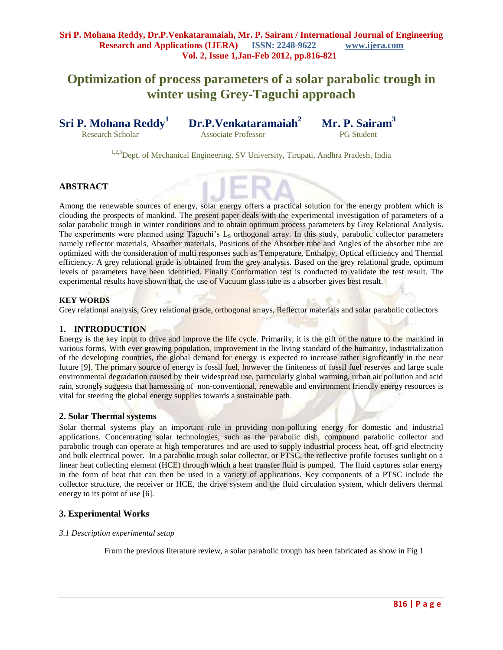# **Optimization of process parameters of a solar parabolic trough in winter using Grey-Taguchi approach**

**Sri P. Mohana Reddy<sup>1</sup>**

Research ScholarAssociate Professor PG Student

**Dr.P.Venkataramaiah<sup>2</sup>**

 **Mr. P. Sairam<sup>3</sup>** 

<sup>1,2,3</sup>Dept. of Mechanical Engineering, SV University, Tirupati, Andhra Pradesh, India

# **ABSTRACT**

Among the renewable sources of energy, solar energy offers a practical solution for the energy problem which is clouding the prospects of mankind. The present paper deals with the experimental investigation of parameters of a solar parabolic trough in winter conditions and to obtain optimum process parameters by Grey Relational Analysis. The experiments were planned using Taguchi's L<sub>9</sub> orthogonal array. In this study, parabolic collector parameters namely reflector materials, Absorber materials, Positions of the Absorber tube and Angles of the absorber tube are optimized with the consideration of multi responses such as Temperature, Enthalpy, Optical efficiency and Thermal efficiency. A grey relational grade is obtained from the grey analysis. Based on the grey relational grade, optimum levels of parameters have been identified. Finally Conformation test is conducted to validate the test result. The experimental results have shown that, the use of Vacuum glass tube as a absorber gives best result.

## **KEY WORDS**

Grey relational analysis, Grey relational grade, orthogonal arrays, Reflector materials and solar parabolic collectors

# **1. INTRODUCTION**

Energy is the key input to drive and improve the life cycle. Primarily, it is the gift of the nature to the mankind in various forms. With ever growing population, improvement in the living standard of the humanity, industrialization of the developing countries, the global demand for energy is expected to increase rather significantly in the near future [9]. The primary source of energy is fossil fuel, however the finiteness of fossil fuel reserves and large scale environmental degradation caused by their widespread use, particularly global warming, urban air pollution and acid rain, strongly suggests that harnessing of non-conventional, renewable and environment friendly energy resources is vital for steering the global energy supplies towards a sustainable path.

## **2. Solar Thermal systems**

Solar thermal systems play an important role in providing non-polluting energy for domestic and industrial applications. Concentrating solar technologies, such as the parabolic dish, compound parabolic collector and parabolic trough can operate at high temperatures and are used to supply industrial process heat, off-grid electricity and bulk electrical power. In a parabolic trough solar collector, or PTSC, the reflective profile focuses sunlight on a linear heat collecting element (HCE) through which a heat transfer fluid is pumped. The fluid captures solar energy in the form of heat that can then be used in a variety of applications. Key components of a PTSC include the collector structure, the receiver or HCE, the drive system and the fluid circulation system, which delivers thermal energy to its point of use [6].

## **3. Experimental Works**

## *3.1 Description experimental setup*

From the previous literature review, a solar parabolic trough has been fabricated as show in Fig 1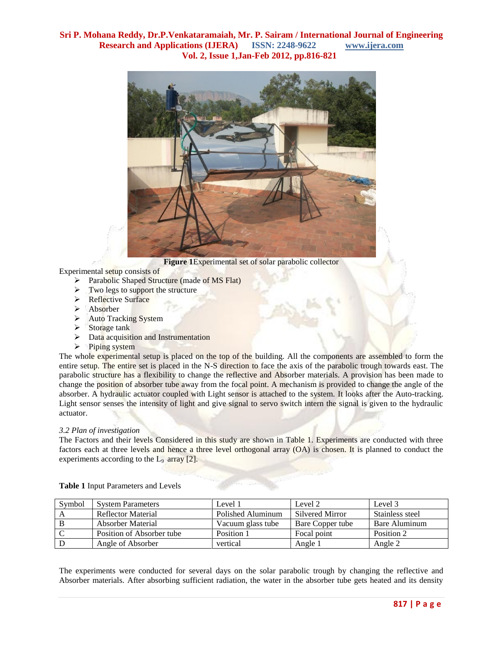

**Figure 1**Experimental set of solar parabolic collector

Experimental setup consists of

- Parabolic Shaped Structure (made of MS Flat)
- $\triangleright$  Two legs to support the structure
- > Reflective Surface
- > Absorber
- Auto Tracking System
- $\triangleright$  Storage tank
- $\triangleright$  Data acquisition and Instrumentation
- $\triangleright$  Piping system

The whole experimental setup is placed on the top of the building. All the components are assembled to form the entire setup. The entire set is placed in the N-S direction to face the axis of the parabolic trough towards east. The parabolic structure has a flexibility to change the reflective and Absorber materials. A provision has been made to change the position of absorber tube away from the focal point. A mechanism is provided to change the angle of the absorber. A hydraulic actuator coupled with Light sensor is attached to the system. It looks after the Auto-tracking. Light sensor senses the intensity of light and give signal to servo switch intern the signal is given to the hydraulic actuator.

# *3.2 Plan of investigation*

The Factors and their levels Considered in this study are shown in Table 1. Experiments are conducted with three factors each at three levels and hence a three level orthogonal array (OA) is chosen. It is planned to conduct the experiments according to the  $L_9$  array [2].

| Symbol | <b>System Parameters</b>  | Level 1           | Level 2          | Level 3         |
|--------|---------------------------|-------------------|------------------|-----------------|
|        | Reflector Material        | Polished Aluminum | Silvered Mirror  | Stainless steel |
|        | Absorber Material         | Vacuum glass tube | Bare Copper tube | Bare Aluminum   |
|        | Position of Absorber tube | Position 1        | Focal point      | Position 2      |
|        | Angle of Absorber         | vertical          | Angle 1          | Angle 2         |

**Table 1** Input Parameters and Levels

The experiments were conducted for several days on the solar parabolic trough by changing the reflective and Absorber materials. After absorbing sufficient radiation, the water in the absorber tube gets heated and its density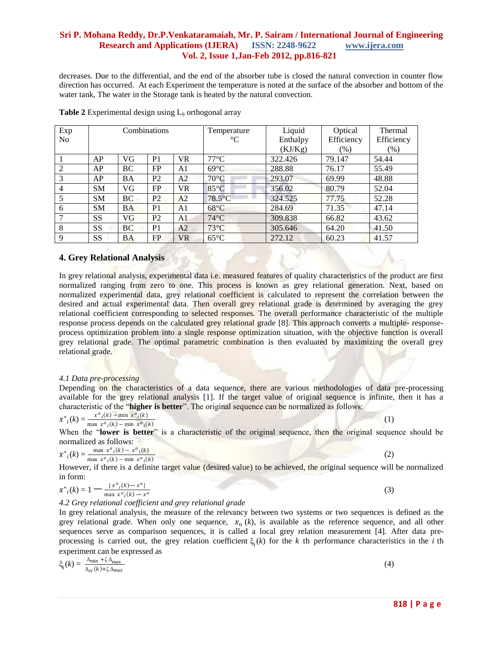decreases. Due to the differential, and the end of the absorber tube is closed the natural convection in counter flow direction has occurred. At each Experiment the temperature is noted at the surface of the absorber and bottom of the water tank, The water in the Storage tank is heated by the natural convection.

| Exp            | Combinations |           |                |                | Temperature     | Liquid   | Optical    | Thermal    |
|----------------|--------------|-----------|----------------|----------------|-----------------|----------|------------|------------|
| N <sub>0</sub> |              |           |                |                | $\rm ^{\circ}C$ | Enthalpy | Efficiency | Efficiency |
|                |              |           |                |                |                 | (KJ/Kg)  | $(\%)$     | $(\%)$     |
|                | AP           | VG        | P <sub>1</sub> | <b>VR</b>      | $77^{\circ}$ C  | 322.426  | 79.147     | 54.44      |
| 2              | AP           | BC        | FP             | A1             | $69^{\circ}$ C  | 288.88   | 76.17      | 55.49      |
| 3              | AP           | <b>BA</b> | P <sub>2</sub> | A2             | $70^{\circ}$ C  | 293.07   | 69.99      | 48.88      |
| $\overline{4}$ | <b>SM</b>    | VG        | FP             | <b>VR</b>      | $85^{\circ}$ C  | 356.02   | 80.79      | 52.04      |
| 5              | <b>SM</b>    | BC        | P <sub>2</sub> | A <sub>2</sub> | $78.5$ °C       | 324.525  | 77.75      | 52.28      |
| 6              | <b>SM</b>    | <b>BA</b> | P <sub>1</sub> | A <sub>1</sub> | $68^{\circ}$ C  | 284.69   | 71.35      | 47.14      |
| 7              | <b>SS</b>    | VG        | P <sub>2</sub> | A1             | $74^{\circ}$ C  | 309.838  | 66.82      | 43.62      |
| 8              | <b>SS</b>    | BC        | P <sub>1</sub> | A2             | $73^{\circ}$ C  | 305.646  | 64.20      | 41.50      |
| 9              | <b>SS</b>    | <b>BA</b> | FP             | VR             | $65^{\circ}$ C  | 272.12   | 60.23      | 41.57      |

**Table 2** Experimental design using L<sub>9</sub> orthogonal array

## **4. Grey Relational Analysis**

In grey relational analysis, experimental data i.e. measured features of quality characteristics of the product are first normalized ranging from zero to one. This process is known as grey relational generation. Next, based on normalized experimental data, grey relational coefficient is calculated to represent the correlation between the desired and actual experimental data. Then overall grey relational grade is determined by averaging the grey relational coefficient corresponding to selected responses. The overall performance characteristic of the multiple response process depends on the calculated grey relational grade [8]. This approach converts a multiple- responseprocess optimization problem into a single response optimization situation, with the objective function is overall grey relational grade. The optimal parametric combination is then evaluated by maximizing the overall grey relational grade.

#### *4.1 Data pre-processing*

Depending on the characteristics of a data sequence, there are various methodologies of data pre-processing available for the grey relational analysis [1]. If the target value of original sequence is infinite, then it has a characteristic of the "**higher is better**". The original sequence can be normalized as follows:

$$
x^*_{i}(k) = \frac{x^o_{i}(k) - \min x^o_{i}(k)}{\max x^o_{i}(k) - \min x^o_{i}(k)}
$$

When the "**lower is better**" is a characteristic of the original sequence, then the original sequence should be normalized as follows:

(1) the contract of  $(1)$ 

$$
x^*_{i}(k) = \frac{\max x^o_{i}(k) - x^o_{i}(k)}{\max x^o_{i}(k) - \min x^o_{i}(k)}
$$

However, if there is a definite target value (desired value) to be achieved, the original sequence will be normalized in form:

$$
x^*_{i}(k) = 1 - \frac{|x^o_{i}(k) - x^o|}{\max x^o_{i}(k) - x^o}
$$

*4.2 Grey relational coefficient and grey relational grade*

In grey relational analysis, the measure of the relevancy between two systems or two sequences is defined as the grey relational grade. When only one sequence,  $x_0$  (k), is available as the reference sequence, and all other sequences serve as comparison sequences, it is called a local grey relation measurement [4]. After data preprocessing is carried out, the grey relation coefficient  $\xi_i(k)$  for the *k* th performance characteristics in the *i* th experiment can be expressed as

$$
\xi_{i}(k) = \frac{\Delta_{\min} + \zeta \Delta_{\max}}{\Delta_{oi}(k) + \zeta \Delta_{\max}}
$$
\n(4)

(2)

(3)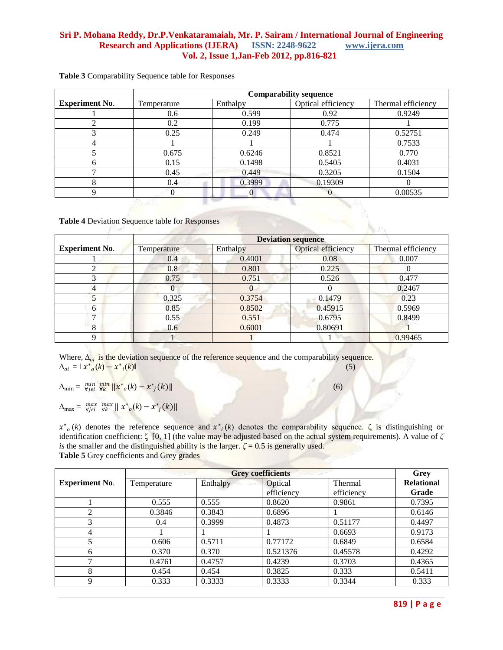|                       | <b>Comparability sequence</b> |          |                    |                    |  |
|-----------------------|-------------------------------|----------|--------------------|--------------------|--|
| <b>Experiment No.</b> | Temperature                   | Enthalpy | Optical efficiency | Thermal efficiency |  |
|                       | 0.6                           | 0.599    | 0.92               | 0.9249             |  |
|                       | 0.2                           | 0.199    | 0.775              |                    |  |
|                       | 0.25                          | 0.249    | 0.474              | 0.52751            |  |
|                       |                               |          |                    | 0.7533             |  |
|                       | 0.675                         | 0.6246   | 0.8521             | 0.770              |  |
| h                     | 0.15                          | 0.1498   | 0.5405             | 0.4031             |  |
|                       | 0.45                          | 0.449    | 0.3205             | 0.1504             |  |
|                       | 0.4                           | 0.3999   | 0.19309            |                    |  |
|                       | O                             |          | $\theta$           | 0.00535            |  |

**Table 3** Comparability Sequence table for Responses

**Table 4** Deviation Sequence table for Responses

|                       | <b>Deviation sequence</b> |          |                    |                    |  |  |
|-----------------------|---------------------------|----------|--------------------|--------------------|--|--|
| <b>Experiment No.</b> | Temperature               | Enthalpy | Optical efficiency | Thermal efficiency |  |  |
|                       | 0.4                       | 0.4001   | 0.08               | 0.007              |  |  |
|                       | 0.8                       | 0.801    | 0.225              |                    |  |  |
| 3                     | 0.75                      | 0.751    | 0.526              | 0.477              |  |  |
| $\overline{4}$        |                           | $\theta$ |                    | 0.2467             |  |  |
|                       | 0.325                     | 0.3754   | 0.1479             | 0.23               |  |  |
| <sub>0</sub>          | 0.85                      | 0.8502   | 0.45915            | 0.5969             |  |  |
|                       | 0.55                      | 0.551    | 0.6795             | 0.8499             |  |  |
| 8                     | 0.6                       | 0.6001   | 0.80691            |                    |  |  |
| q                     |                           |          |                    | 0.99465            |  |  |

Where,  $\Delta_{oi}$  is the deviation sequence of the reference sequence and the comparability sequence.  $\Delta_{oi} = ||x^*_{o}(k) - x^*_{i}||$  $(k)$  (5)

 $\Delta_{\min} = \frac{\min_{\forall j \in \mathcal{N}} \min_{\mathbf{w} \in \mathcal{N}} \|x^*_{o}(k) - x^*_{j}(k)\|$  (6)

 $\Delta_{\text{max}} = \max_{\forall j \in i} \max_{\forall k} \| x^*_{o}(k) - x^*_{j}(k) \|$ 

 $x^*$ <sub>o</sub>(k) denotes the reference sequence and  $x^*$ <sub>i</sub>(k) denotes the comparability sequence.  $\zeta$  is distinguishing or identification coefficient: ζ [0*,* 1] (the value may be adjusted based on the actual system requirements). A value of *ζ is* the smaller and the distinguished ability is the larger.  $\zeta = 0.5$  is generally used. **Table 5** Grey coefficients and Grey grades

|                       |             | Grey     |            |            |                   |
|-----------------------|-------------|----------|------------|------------|-------------------|
| <b>Experiment No.</b> | Temperature | Enthalpy | Optical    | Thermal    | <b>Relational</b> |
|                       |             |          | efficiency | efficiency | Grade             |
|                       | 0.555       | 0.555    | 0.8620     | 0.9861     | 0.7395            |
| ↑                     | 0.3846      | 0.3843   | 0.6896     |            | 0.6146            |
| 3                     | 0.4         | 0.3999   | 0.4873     | 0.51177    | 0.4497            |
| 4                     |             |          |            | 0.6693     | 0.9173            |
|                       | 0.606       | 0.5711   | 0.77172    | 0.6849     | 0.6584            |
| 6                     | 0.370       | 0.370    | 0.521376   | 0.45578    | 0.4292            |
| ⇁                     | 0.4761      | 0.4757   | 0.4239     | 0.3703     | 0.4365            |
| 8                     | 0.454       | 0.454    | 0.3825     | 0.333      | 0.5411            |
| Q                     | 0.333       | 0.3333   | 0.3333     | 0.3344     | 0.333             |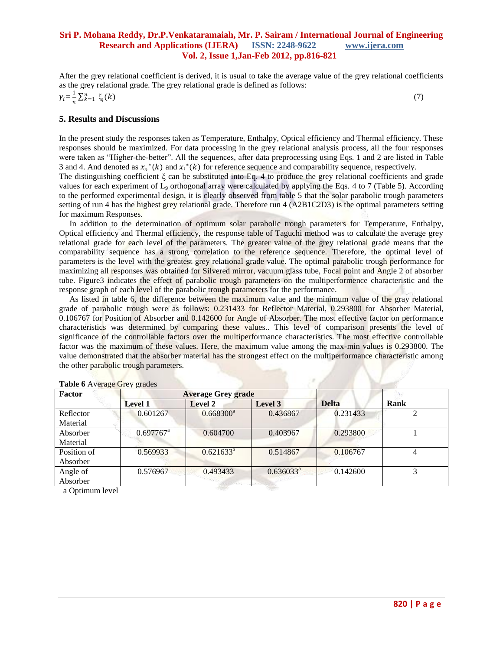After the grey relational coefficient is derived, it is usual to take the average value of the grey relational coefficients as the grey relational grade. The grey relational grade is defined as follows:  $\gamma_i = \frac{1}{n}$  $\frac{1}{n} \sum_{k=1}^{n} \xi_i(k)$  $(7)$ 

#### **5. Results and Discussions**

In the present study the responses taken as Temperature, Enthalpy, Optical efficiency and Thermal efficiency. These responses should be maximized. For data processing in the grey relational analysis process, all the four responses were taken as "Higher-the-better". All the sequences, after data preprocessing using Eqs. 1 and 2 are listed in Table 3 and 4. And denoted as  $x_0^*(k)$  and  $x_i^*(k)$  for reference sequence and comparability sequence, respectively.

The distinguishing coefficient ξ can be substituted into Eq. 4 to produce the grey relational coefficients and grade values for each experiment of  $L_9$  orthogonal array were calculated by applying the Eqs. 4 to 7 (Table 5). According to the performed experimental design, it is clearly observed from table 5 that the solar parabolic trough parameters setting of run 4 has the highest grey relational grade. Therefore run 4 (A2B1C2D3) is the optimal parameters setting for maximum Responses.

 In addition to the determination of optimum solar parabolic trough parameters for Temperature, Enthalpy, Optical efficiency and Thermal efficiency, the response table of Taguchi method was to calculate the average grey relational grade for each level of the parameters. The greater value of the grey relational grade means that the comparability sequence has a strong correlation to the reference sequence. Therefore, the optimal level of parameters is the level with the greatest grey relational grade value. The optimal parabolic trough performance for maximizing all responses was obtained for Silvered mirror, vacuum glass tube, Focal point and Angle 2 of absorber tube. Figure3 indicates the effect of parabolic trough parameters on the multiperformence characteristic and the response graph of each level of the parabolic trough parameters for the performance.

 As listed in table 6, the difference between the maximum value and the minimum value of the gray relational grade of parabolic trough were as follows: 0.231433 for Reflector Material, 0.293800 for Absorber Material, 0.106767 for Position of Absorber and 0.142600 for Angle of Absorber. The most effective factor on performance characteristics was determined by comparing these values.. This level of comparison presents the level of significance of the controllable factors over the multiperformance characteristics. The most effective controllable factor was the maximum of these values. Here, the maximum value among the max-min values is 0.293800. The value demonstrated that the absorber material has the strongest effect on the multiperformance characteristic among the other parabolic trough parameters.

| <b>Factor</b> |                       | <b>Average Grey grade</b> |                |              |             |
|---------------|-----------------------|---------------------------|----------------|--------------|-------------|
|               | <b>Level 1</b>        | Level 2                   | Level 3        | <b>Delta</b> | <b>Rank</b> |
| Reflector     | 0.601267              | $0.668300^a$              | 0.436867       | 0.231433     |             |
| Material      |                       |                           |                |              |             |
| Absorber      | $0.697767^{\text{a}}$ | 0.604700                  | 0.403967       | 0.293800     |             |
| Material      |                       |                           |                |              |             |
| Position of   | 0.569933              | $0.621633^a$              | 0.514867       | 0.106767     | 4           |
| Absorber      |                       |                           |                |              |             |
| Angle of      | 0.576967              | 0.493433                  | $0.636033^{a}$ | 0.142600     | 3           |
| Absorber      |                       |                           |                |              |             |

a Optimum level